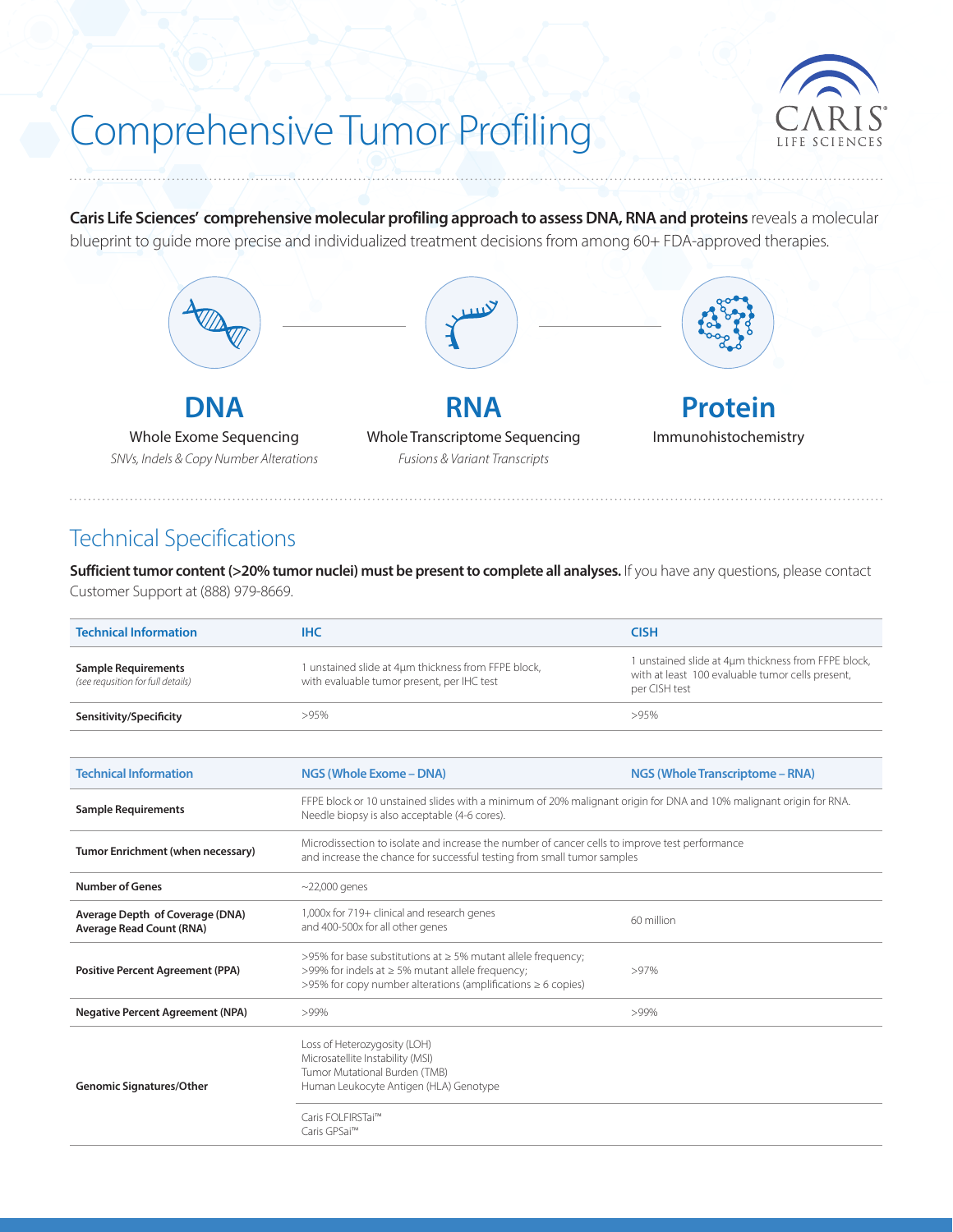# Comprehensive Tumor Profiling



**Caris Life Sciences' comprehensive molecular profiling approach to assess DNA, RNA and proteins** reveals a molecular blueprint to guide more precise and individualized treatment decisions from among 60+ FDA-approved therapies.



## Technical Specifications

**Sufficient tumor content (>20% tumor nuclei) must be present to complete all analyses.** If you have any questions, please contact Customer Support at (888) 979-8669.

| <b>Technical Information</b>                                       | <b>IHC</b>                                                                                                                                                                            | <b>CISH</b>                                                                                                              |  |  |  |
|--------------------------------------------------------------------|---------------------------------------------------------------------------------------------------------------------------------------------------------------------------------------|--------------------------------------------------------------------------------------------------------------------------|--|--|--|
| <b>Sample Requirements</b><br>(see requsition for full details)    | 1 unstained slide at 4µm thickness from FFPE block,<br>with evaluable tumor present, per IHC test                                                                                     | 1 unstained slide at 4um thickness from FFPE block,<br>with at least 100 evaluable tumor cells present,<br>per CISH test |  |  |  |
| Sensitivity/Specificity                                            | >95%                                                                                                                                                                                  | >95%                                                                                                                     |  |  |  |
|                                                                    |                                                                                                                                                                                       |                                                                                                                          |  |  |  |
| <b>Technical Information</b>                                       | NGS (Whole Exome - DNA)                                                                                                                                                               | <b>NGS (Whole Transcriptome - RNA)</b>                                                                                   |  |  |  |
| <b>Sample Requirements</b>                                         | FFPE block or 10 unstained slides with a minimum of 20% malignant origin for DNA and 10% malignant origin for RNA.<br>Needle biopsy is also acceptable (4-6 cores).                   |                                                                                                                          |  |  |  |
| Tumor Enrichment (when necessary)                                  | Microdissection to isolate and increase the number of cancer cells to improve test performance<br>and increase the chance for successful testing from small tumor samples             |                                                                                                                          |  |  |  |
| <b>Number of Genes</b>                                             | $\sim$ 22,000 genes                                                                                                                                                                   |                                                                                                                          |  |  |  |
| Average Depth of Coverage (DNA)<br><b>Average Read Count (RNA)</b> | 1,000x for 719+ clinical and research genes<br>and 400-500x for all other genes                                                                                                       | 60 million                                                                                                               |  |  |  |
| <b>Positive Percent Agreement (PPA)</b>                            | >95% for base substitutions at ≥ 5% mutant allele frequency;<br>>99% for indels at ≥ 5% mutant allele frequency;<br>>95% for copy number alterations (amplifications $\geq 6$ copies) | $>97\%$                                                                                                                  |  |  |  |
| <b>Negative Percent Agreement (NPA)</b>                            | >99%                                                                                                                                                                                  | >99%                                                                                                                     |  |  |  |
| <b>Genomic Signatures/Other</b>                                    | Loss of Heterozygosity (LOH)<br>Microsatellite Instability (MSI)<br>Tumor Mutational Burden (TMB)<br>Human Leukocyte Antigen (HLA) Genotype                                           |                                                                                                                          |  |  |  |
|                                                                    | Caris FOLFIRSTai™<br>Caris GPSai™                                                                                                                                                     |                                                                                                                          |  |  |  |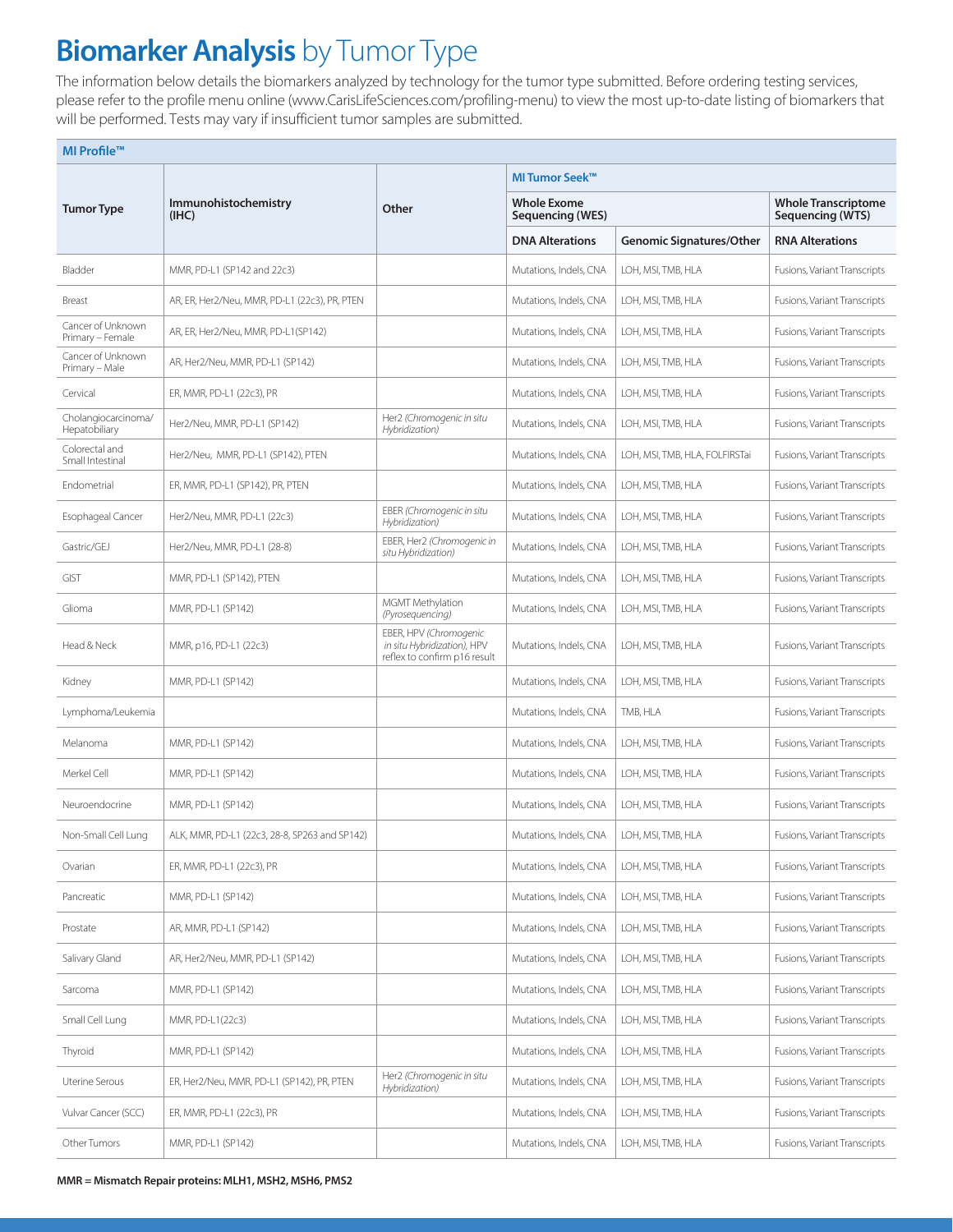## **Biomarker Analysis** by Tumor Type

The information below details the biomarkers analyzed by technology for the tumor type submitted. Before ordering testing services, please refer to the profile menu online (www.CarisLifeSciences.com/profiling-menu) to view the most up-to-date listing of biomarkers that will be performed. Tests may vary if insufficient tumor samples are submitted.

| MI Profile™                           |                                               |                                                                                       |                                        |                                                |                              |  |  |  |  |
|---------------------------------------|-----------------------------------------------|---------------------------------------------------------------------------------------|----------------------------------------|------------------------------------------------|------------------------------|--|--|--|--|
|                                       | Immunohistochemistry<br>(IHC)                 | Other                                                                                 | <b>MITumor Seek™</b>                   |                                                |                              |  |  |  |  |
| <b>Tumor Type</b>                     |                                               |                                                                                       | <b>Whole Exome</b><br>Sequencing (WES) | <b>Whole Transcriptome</b><br>Sequencing (WTS) |                              |  |  |  |  |
|                                       |                                               |                                                                                       | <b>DNA Alterations</b>                 | <b>Genomic Signatures/Other</b>                | <b>RNA Alterations</b>       |  |  |  |  |
| Bladder                               | MMR, PD-L1 (SP142 and 22c3)                   |                                                                                       | Mutations, Indels, CNA                 | LOH, MSI, TMB, HLA                             | Fusions, Variant Transcripts |  |  |  |  |
| Breast                                | AR, ER, Her2/Neu, MMR, PD-L1 (22c3), PR, PTEN |                                                                                       | Mutations, Indels, CNA                 | LOH, MSI, TMB, HLA                             | Fusions, Variant Transcripts |  |  |  |  |
| Cancer of Unknown<br>Primary - Female | AR, ER, Her2/Neu, MMR, PD-L1(SP142)           |                                                                                       | Mutations, Indels, CNA                 | LOH, MSI, TMB, HLA                             | Fusions, Variant Transcripts |  |  |  |  |
| Cancer of Unknown<br>Primary - Male   | AR, Her2/Neu, MMR, PD-L1 (SP142)              |                                                                                       | Mutations, Indels, CNA                 | LOH, MSI, TMB, HLA                             | Fusions, Variant Transcripts |  |  |  |  |
| Cervical                              | ER, MMR, PD-L1 (22c3), PR                     |                                                                                       | Mutations, Indels, CNA                 | LOH, MSI, TMB, HLA                             | Fusions, Variant Transcripts |  |  |  |  |
| Cholangiocarcinoma/<br>Hepatobiliary  | Her2/Neu, MMR, PD-L1 (SP142)                  | Her2 (Chromogenic in situ<br>Hybridization)                                           | Mutations, Indels, CNA                 | LOH, MSI, TMB, HLA                             | Fusions, Variant Transcripts |  |  |  |  |
| Colorectal and<br>Small Intestinal    | Her2/Neu, MMR, PD-L1 (SP142), PTEN            |                                                                                       | Mutations, Indels, CNA                 | LOH, MSI, TMB, HLA, FOLFIRSTai                 | Fusions, Variant Transcripts |  |  |  |  |
| Endometrial                           | ER, MMR, PD-L1 (SP142), PR, PTEN              |                                                                                       | Mutations, Indels, CNA                 | LOH, MSI, TMB, HLA                             | Fusions, Variant Transcripts |  |  |  |  |
| Esophageal Cancer                     | Her2/Neu, MMR, PD-L1 (22c3)                   | EBER (Chromogenic in situ<br>Hybridization)                                           | Mutations, Indels, CNA                 | LOH, MSI, TMB, HLA                             | Fusions, Variant Transcripts |  |  |  |  |
| Gastric/GEJ                           | Her2/Neu, MMR, PD-L1 (28-8)                   | EBER, Her2 (Chromogenic in<br>situ Hybridization)                                     | Mutations, Indels, CNA                 | LOH, MSI, TMB, HLA                             | Fusions, Variant Transcripts |  |  |  |  |
| <b>GIST</b>                           | MMR, PD-L1 (SP142), PTEN                      |                                                                                       | Mutations, Indels, CNA                 | LOH, MSI, TMB, HLA                             | Fusions, Variant Transcripts |  |  |  |  |
| Glioma                                | MMR, PD-L1 (SP142)                            | MGMT Methylation<br>(Pyrosequencing)                                                  | Mutations, Indels, CNA                 | LOH, MSI, TMB, HLA                             | Fusions, Variant Transcripts |  |  |  |  |
| Head & Neck                           | MMR, p16, PD-L1 (22c3)                        | EBER, HPV (Chromogenic<br>in situ Hybridization), HPV<br>reflex to confirm p16 result | Mutations, Indels, CNA                 | LOH, MSI, TMB, HLA                             | Fusions, Variant Transcripts |  |  |  |  |
| Kidney                                | MMR, PD-L1 (SP142)                            |                                                                                       | Mutations, Indels, CNA                 | LOH, MSI, TMB, HLA                             | Fusions, Variant Transcripts |  |  |  |  |
| Lymphoma/Leukemia                     |                                               |                                                                                       | Mutations, Indels, CNA                 | TMB, HLA                                       | Fusions, Variant Transcripts |  |  |  |  |
| Melanoma                              | MMR, PD-L1 (SP142)                            |                                                                                       | Mutations, Indels, CNA                 | LOH, MSI, TMB, HLA                             | Fusions, Variant Transcripts |  |  |  |  |
| Merkel Cell                           | MMR, PD-L1 (SP142)                            |                                                                                       | Mutations, Indels, CNA                 | LOH, MSI, TMB, HLA                             | Fusions, Variant Transcripts |  |  |  |  |
| Neuroendocrine                        | MMR, PD-L1 (SP142)                            |                                                                                       | Mutations, Indels, CNA                 | LOH, MSI, TMB, HLA                             | Fusions, Variant Transcripts |  |  |  |  |
| Non-Small Cell Lung                   | ALK, MMR, PD-L1 (22c3, 28-8, SP263 and SP142) |                                                                                       | Mutations, Indels, CNA                 | LOH, MSI, TMB, HLA                             | Fusions, Variant Transcripts |  |  |  |  |
| Ovarian                               | ER, MMR, PD-L1 (22c3), PR                     |                                                                                       | Mutations, Indels, CNA                 | LOH, MSI, TMB, HLA                             | Fusions, Variant Transcripts |  |  |  |  |
| Pancreatic                            | MMR, PD-L1 (SP142)                            |                                                                                       | Mutations, Indels, CNA                 | LOH, MSI, TMB, HLA                             | Fusions, Variant Transcripts |  |  |  |  |
| Prostate                              | AR, MMR, PD-L1 (SP142)                        |                                                                                       | Mutations, Indels, CNA                 | LOH, MSI, TMB, HLA                             | Fusions, Variant Transcripts |  |  |  |  |
| Salivary Gland                        | AR, Her2/Neu, MMR, PD-L1 (SP142)              |                                                                                       | Mutations, Indels, CNA                 | LOH, MSI, TMB, HLA                             | Fusions, Variant Transcripts |  |  |  |  |
| Sarcoma                               | MMR, PD-L1 (SP142)                            |                                                                                       | Mutations, Indels, CNA                 | LOH, MSI, TMB, HLA                             | Fusions, Variant Transcripts |  |  |  |  |
| Small Cell Lung                       | MMR, PD-L1(22c3)                              |                                                                                       | Mutations, Indels, CNA                 | LOH, MSI, TMB, HLA                             | Fusions, Variant Transcripts |  |  |  |  |
| Thyroid                               | MMR, PD-L1 (SP142)                            |                                                                                       | Mutations, Indels, CNA                 | LOH, MSI, TMB, HLA                             | Fusions, Variant Transcripts |  |  |  |  |
| Uterine Serous                        | ER, Her2/Neu, MMR, PD-L1 (SP142), PR, PTEN    | Her2 (Chromogenic in situ<br>Hybridization)                                           | Mutations, Indels, CNA                 | LOH, MSI, TMB, HLA                             | Fusions, Variant Transcripts |  |  |  |  |
| Vulvar Cancer (SCC)                   | ER, MMR, PD-L1 (22c3), PR                     |                                                                                       | Mutations, Indels, CNA                 | LOH, MSI, TMB, HLA                             | Fusions, Variant Transcripts |  |  |  |  |
| Other Tumors                          | MMR, PD-L1 (SP142)                            |                                                                                       | Mutations, Indels, CNA                 | LOH, MSI, TMB, HLA                             | Fusions, Variant Transcripts |  |  |  |  |